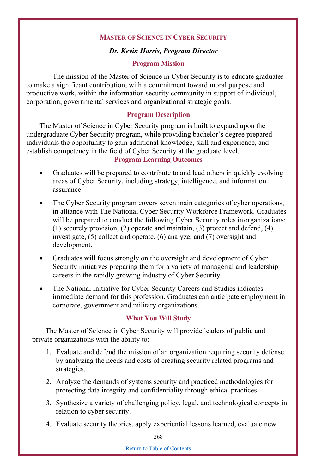### **MASTER OF SCIENCE IN CYBER SECURITY**

### *Dr. Kevin Harris, Program Director*

### **Program Mission**

The mission of the Master of Science in Cyber Security is to educate graduates to make a significant contribution, with a commitment toward moral purpose and productive work, within the information security community in support of individual, corporation, governmental services and organizational strategic goals.

#### **Program Description**

The Master of Science in Cyber Security program is built to expand upon the undergraduate Cyber Security program, while providing bachelor's degree prepared individuals the opportunity to gain additional knowledge, skill and experience, and establish competency in the field of Cyber Security at the graduate level.

## **Program Learning Outcomes**

- Graduates will be prepared to contribute to and lead others in quickly evolving areas of Cyber Security, including strategy, intelligence, and information assurance.
- The Cyber Security program covers seven main categories of cyber operations, in alliance with The National Cyber Security Workforce Framework. Graduates will be prepared to conduct the following Cyber Security roles in organizations: (1) securely provision, (2) operate and maintain, (3) protect and defend, (4) investigate, (5) collect and operate, (6) analyze, and (7) oversight and development.
- Graduates will focus strongly on the oversight and development of Cyber Security initiatives preparing them for a variety of managerial and leadership careers in the rapidly growing industry of Cyber Security.
- The National Initiative for Cyber Security Careers and Studies indicates immediate demand for this profession. Graduates can anticipate employment in corporate, government and military organizations.

### **What You Will Study**

The Master of Science in Cyber Security will provide leaders of public and private organizations with the ability to:

- 1. Evaluate and defend the mission of an organization requiring security defense by analyzing the needs and costs of creating security related programs and strategies.
- 2. Analyze the demands of systems security and practiced methodologies for protecting data integrity and confidentiality through ethical practices.
- 3. Synthesize a variety of challenging policy, legal, and technological concepts in relation to cyber security.
- 4. Evaluate security theories, apply experiential lessons learned, evaluate new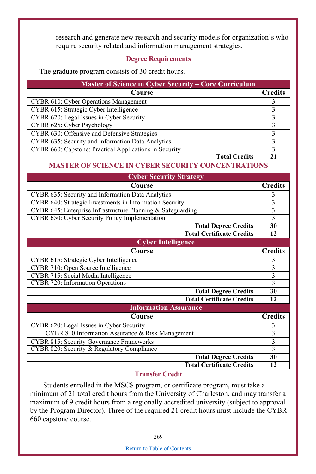research and generate new research and security models for organization's who require security related and information management strategies.

## **Degree Requirements**

The graduate program consists of 30 credit hours.

| <b>Master of Science in Cyber Security – Core Curriculum</b> |                |
|--------------------------------------------------------------|----------------|
| Course                                                       | <b>Credits</b> |
| CYBR 610: Cyber Operations Management                        |                |
| CYBR 615: Strategic Cyber Intelligence                       |                |
| CYBR 620: Legal Issues in Cyber Security                     |                |
| CYBR 625: Cyber Psychology                                   |                |
| CYBR 630: Offensive and Defensive Strategies                 |                |
| CYBR 635: Security and Information Data Analytics            |                |
| CYBR 660: Capstone: Practical Applications in Security       |                |
| <b>Total Credits</b>                                         |                |

# **MASTER OF SCIENCE IN CYBER SECURITY CONCENTRATIONS**

| <b>Cyber Security Strategy</b>                              |                |
|-------------------------------------------------------------|----------------|
| Course                                                      | <b>Credits</b> |
| CYBR 635: Security and Information Data Analytics           | 3              |
| CYBR 640: Strategic Investments in Information Security     | 3              |
| CYBR 645: Enterprise Infrastructure Planning & Safeguarding | $rac{3}{3}$    |
| CYBR 650: Cyber Security Policy Implementation              |                |
| <b>Total Degree Credits</b>                                 | 30             |
| <b>Total Certificate Credits</b>                            | 12             |
| <b>Cyber Intelligence</b>                                   |                |
| Course                                                      | <b>Credits</b> |
| CYBR 615: Strategic Cyber Intelligence                      | 3              |
| CYBR 710: Open Source Intelligence                          | 3              |
| CYBR 715: Social Media Intelligence                         | 3              |
| CYBR 720: Information Operations                            | 3              |
| <b>Total Degree Credits</b>                                 | 30             |
| <b>Total Certificate Credits</b>                            | 12             |
| <b>Information Assurance</b>                                |                |
| Course                                                      | <b>Credits</b> |
| CYBR 620: Legal Issues in Cyber Security                    | 3              |
| CYBR 810 Information Assurance & Risk Management            | 3              |
| <b>CYBR 815: Security Governance Frameworks</b>             | 3              |
| CYBR 820: Security & Regulatory Compliance                  | 3              |
| <b>Total Degree Credits</b>                                 | 30             |
| <b>Total Certificate Credits</b>                            | 12             |

### **Transfer Credit**

Students enrolled in the MSCS program, or certificate program, must take a minimum of 21 total credit hours from the University of Charleston, and may transfer a maximum of 9 credit hours from a regionally accredited university (subject to approval by the Program Director). Three of the required 21 credit hours must include the CYBR 660 capstone course.